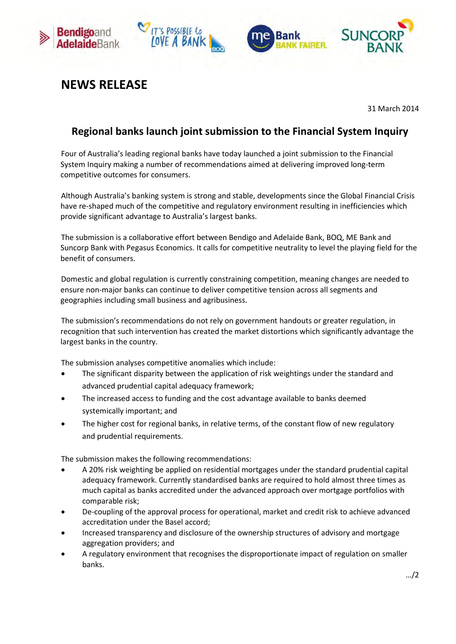







## **NEWS RELEASE**

31 March 2014

## **Regional banks launch joint submission to the Financial System Inquiry**

Four of Australia's leading regional banks have today launched a joint submission to the Financial System Inquiry making a number of recommendations aimed at delivering improved long-term competitive outcomes for consumers.

Although Australia's banking system is strong and stable, developments since the Global Financial Crisis have re-shaped much of the competitive and regulatory environment resulting in inefficiencies which provide significant advantage to Australia's largest banks.

The submission is a collaborative effort between Bendigo and Adelaide Bank, BOQ, ME Bank and Suncorp Bank with Pegasus Economics. It calls for competitive neutrality to level the playing field for the benefit of consumers.

Domestic and global regulation is currently constraining competition, meaning changes are needed to ensure non-major banks can continue to deliver competitive tension across all segments and geographies including small business and agribusiness.

The submission's recommendations do not rely on government handouts or greater regulation, in recognition that such intervention has created the market distortions which significantly advantage the largest banks in the country.

The submission analyses competitive anomalies which include:

- The significant disparity between the application of risk weightings under the standard and advanced prudential capital adequacy framework;
- The increased access to funding and the cost advantage available to banks deemed systemically important; and
- The higher cost for regional banks, in relative terms, of the constant flow of new regulatory and prudential requirements.

The submission makes the following recommendations:

- A 20% risk weighting be applied on residential mortgages under the standard prudential capital adequacy framework. Currently standardised banks are required to hold almost three times as much capital as banks accredited under the advanced approach over mortgage portfolios with comparable risk;
- De-coupling of the approval process for operational, market and credit risk to achieve advanced accreditation under the Basel accord;
- Increased transparency and disclosure of the ownership structures of advisory and mortgage aggregation providers; and
- A regulatory environment that recognises the disproportionate impact of regulation on smaller banks.